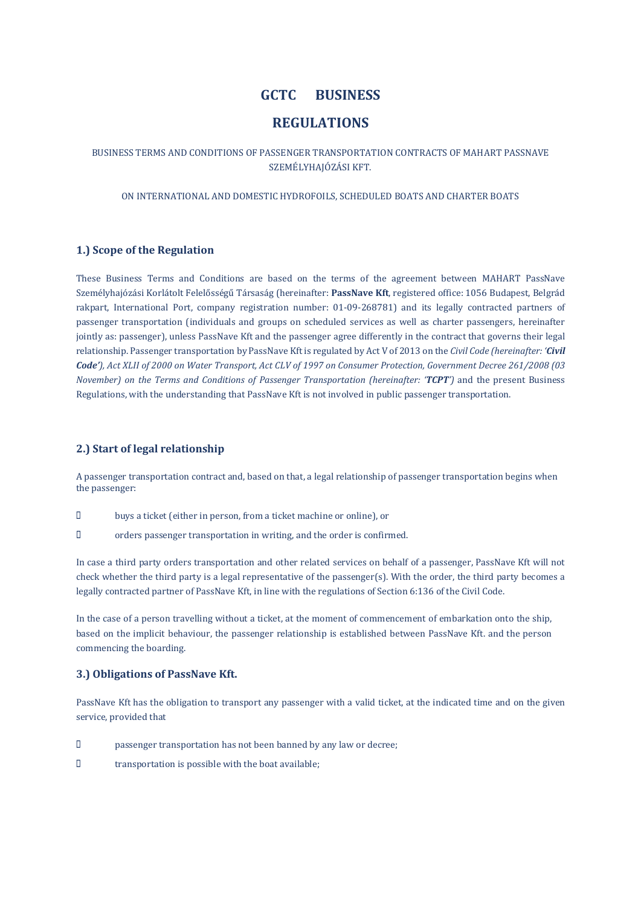# GCTC BUSINESS

# REGULATIONS

## BUSINESS TERMS AND CONDITIONS OF PASSENGER TRANSPORTATION CONTRACTS OF MAHART PASSNAVE SZEMÉLYHAJÓZÁSI KFT.

ON INTERNATIONAL AND DOMESTIC HYDROFOILS, SCHEDULED BOATS AND CHARTER BOATS

## 1.) Scope of the Regulation

These Business Terms and Conditions are based on the terms of the agreement between MAHART PassNave Személyhajózási Korlátolt Felelősségű Társaság (hereinafter: PassNave Kft, registered office: 1056 Budapest, Belgrád rakpart, International Port, company registration number: 01-09-268781) and its legally contracted partners of passenger transportation (individuals and groups on scheduled services as well as charter passengers, hereinafter jointly as: passenger), unless PassNave Kft and the passenger agree differently in the contract that governs their legal relationship. Passenger transportation by PassNave Kft is regulated by Act V of 2013 on the *Civil Code (hereinafter: 'Civil Code'), Act XLII of 2000 on Water Transport, Act CLV of 1997 on Consumer Protection, Government Decree 261/2008 (03 November) on the Terms and Conditions of Passenger Transportation (hereinafter: 'TCPT')* and the present Business Regulations, with the understanding that PassNave Kft is not involved in public passenger transportation.

## 2.) Start of legal relationship

A passenger transportation contract and, based on that, a legal relationship of passenger transportation begins when the passenger:

- buys a ticket (either in person, from a ticket machine or online), or
- orders passenger transportation in writing, and the order is confirmed.

In case a third party orders transportation and other related services on behalf of a passenger, PassNave Kft will not check whether the third party is a legal representative of the passenger(s). With the order, the third party becomes a legally contracted partner of PassNave Kft, in line with the regulations of Section 6:136 of the Civil Code.

In the case of a person travelling without a ticket, at the moment of commencement of embarkation onto the ship, based on the implicit behaviour, the passenger relationship is established between PassNave Kft. and the person commencing the boarding.

## 3.) Obligations of PassNave Kft.

PassNave Kft has the obligation to transport any passenger with a valid ticket, at the indicated time and on the given service, provided that

- passenger transportation has not been banned by any law or decree;
- $\Box$  transportation is possible with the boat available;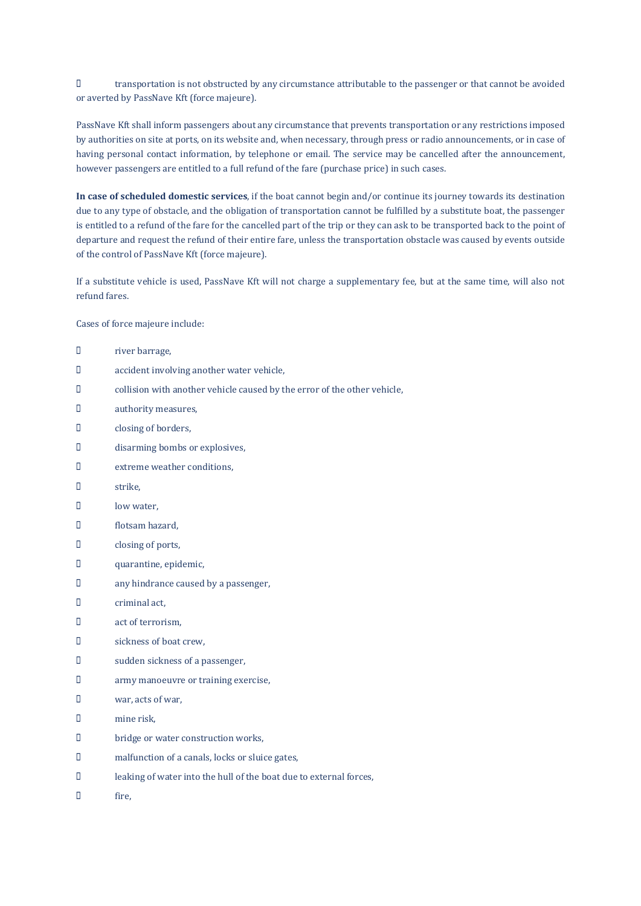transportation is not obstructed by any circumstance attributable to the passenger or that cannot be avoided or averted by PassNave Kft (force majeure).

PassNave Kft shall inform passengers about any circumstance that prevents transportation or any restrictions imposed by authorities on site at ports, on its website and, when necessary, through press or radio announcements, or in case of having personal contact information, by telephone or email. The service may be cancelled after the announcement, however passengers are entitled to a full refund of the fare (purchase price) in such cases.

In case of scheduled domestic services, if the boat cannot begin and/or continue its journey towards its destination due to any type of obstacle, and the obligation of transportation cannot be fulfilled by a substitute boat, the passenger is entitled to a refund of the fare for the cancelled part of the trip or they can ask to be transported back to the point of departure and request the refund of their entire fare, unless the transportation obstacle was caused by events outside of the control of PassNave Kft (force majeure).

If a substitute vehicle is used, PassNave Kft will not charge a supplementary fee, but at the same time, will also not refund fares.

Cases of force majeure include:

| П  | river barrage,                                                           |
|----|--------------------------------------------------------------------------|
| П  | accident involving another water vehicle,                                |
| П  | collision with another vehicle caused by the error of the other vehicle, |
| П  | authority measures,                                                      |
| П  | closing of borders,                                                      |
| П  | disarming bombs or explosives,                                           |
| D  | extreme weather conditions,                                              |
| П. | strike,                                                                  |
| П  | low water,                                                               |
| П  | flotsam hazard,                                                          |
| П  | closing of ports,                                                        |
| П  | quarantine, epidemic,                                                    |
| П  | any hindrance caused by a passenger,                                     |
| П  | criminal act,                                                            |
| П. | act of terrorism,                                                        |
| П  | sickness of boat crew,                                                   |
| П  | sudden sickness of a passenger,                                          |
| П  | army manoeuvre or training exercise,                                     |
| П  | war, acts of war,                                                        |
| П  | mine risk,                                                               |
| П  | bridge or water construction works,                                      |
| O. | malfunction of a canals, locks or sluice gates,                          |
| П  | leaking of water into the hull of the boat due to external forces,       |

D fire,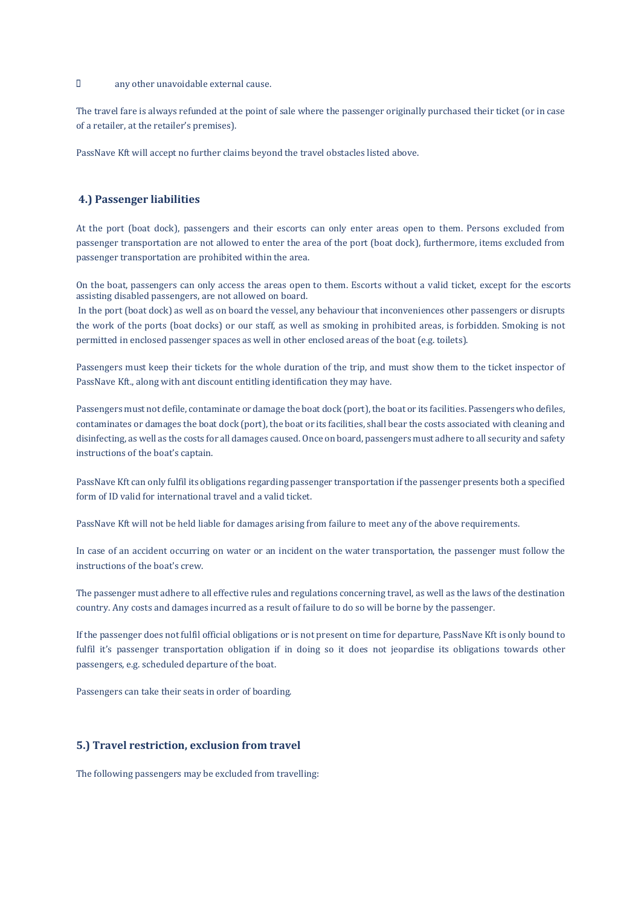#### any other unavoidable external cause.

The travel fare is always refunded at the point of sale where the passenger originally purchased their ticket (or in case of a retailer, at the retailer's premises).

PassNave Kft will accept no further claims beyond the travel obstacles listed above.

## 4.) Passenger liabilities

At the port (boat dock), passengers and their escorts can only enter areas open to them. Persons excluded from passenger transportation are not allowed to enter the area of the port (boat dock), furthermore, items excluded from passenger transportation are prohibited within the area.

On the boat, passengers can only access the areas open to them. Escorts without a valid ticket, except for the escorts assisting disabled passengers, are not allowed on board.

In the port (boat dock) as well as on board the vessel, any behaviour that inconveniences other passengers or disrupts the work of the ports (boat docks) or our staff, as well as smoking in prohibited areas, is forbidden. Smoking is not permitted in enclosed passenger spaces as well in other enclosed areas of the boat (e.g. toilets).

Passengers must keep their tickets for the whole duration of the trip, and must show them to the ticket inspector of PassNave Kft., along with ant discount entitling identification they may have.

Passengers must not defile, contaminate or damage the boat dock (port), the boat or its facilities. Passengers who defiles, contaminates or damages the boat dock (port), the boat or its facilities, shall bear the costs associated with cleaning and disinfecting, as well as the costs for all damages caused. Once on board, passengers must adhere to all security and safety instructions of the boat's captain.

PassNave Kft can only fulfil its obligations regarding passenger transportation if the passenger presents both a specified form of ID valid for international travel and a valid ticket.

PassNave Kft will not be held liable for damages arising from failure to meet any of the above requirements.

In case of an accident occurring on water or an incident on the water transportation, the passenger must follow the instructions of the boat's crew.

The passenger must adhere to all effective rules and regulations concerning travel, as well as the laws of the destination country. Any costs and damages incurred as a result of failure to do so will be borne by the passenger.

If the passenger does not fulfil official obligations or is not present on time for departure, PassNave Kft is only bound to fulfil it's passenger transportation obligation if in doing so it does not jeopardise its obligations towards other passengers, e.g. scheduled departure of the boat.

Passengers can take their seats in order of boarding.

### 5.) Travel restriction, exclusion from travel

The following passengers may be excluded from travelling: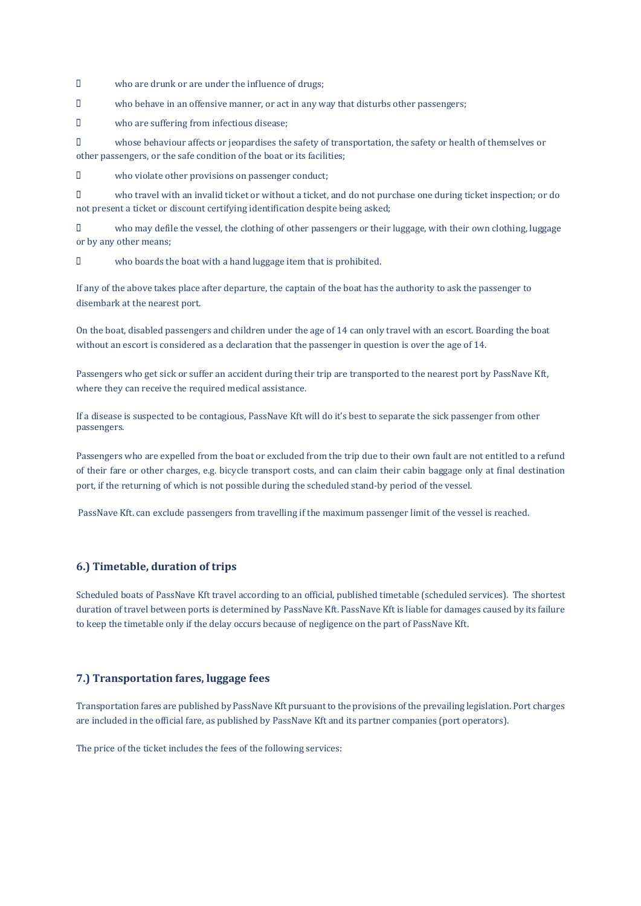who are drunk or are under the influence of drugs;

who behave in an offensive manner, or act in any way that disturbs other passengers;

who are suffering from infectious disease;

 whose behaviour affects or jeopardises the safety of transportation, the safety or health of themselves or other passengers, or the safe condition of the boat or its facilities;

who violate other provisions on passenger conduct;

 who travel with an invalid ticket or without a ticket, and do not purchase one during ticket inspection; or do not present a ticket or discount certifying identification despite being asked;

 who may defile the vessel, the clothing of other passengers or their luggage, with their own clothing, luggage or by any other means;

who boards the boat with a hand luggage item that is prohibited.

If any of the above takes place after departure, the captain of the boat has the authority to ask the passenger to disembark at the nearest port.

On the boat, disabled passengers and children under the age of 14 can only travel with an escort. Boarding the boat without an escort is considered as a declaration that the passenger in question is over the age of 14.

Passengers who get sick or suffer an accident during their trip are transported to the nearest port by PassNave Kft, where they can receive the required medical assistance.

If a disease is suspected to be contagious, PassNave Kft will do it's best to separate the sick passenger from other passengers.

Passengers who are expelled from the boat or excluded from the trip due to their own fault are not entitled to a refund of their fare or other charges, e.g. bicycle transport costs, and can claim their cabin baggage only at final destination port, if the returning of which is not possible during the scheduled stand-by period of the vessel.

PassNave Kft. can exclude passengers from travelling if the maximum passenger limit of the vessel is reached.

#### 6.) Timetable, duration of trips

Scheduled boats of PassNave Kft travel according to an official, published timetable (scheduled services). The shortest duration of travel between ports is determined by PassNave Kft. PassNave Kft is liable for damages caused by its failure to keep the timetable only if the delay occurs because of negligence on the part of PassNave Kft.

## 7.) Transportation fares, luggage fees

Transportation fares are published by PassNave Kft pursuant to the provisions of the prevailing legislation. Port charges are included in the official fare, as published by PassNave Kft and its partner companies (port operators).

The price of the ticket includes the fees of the following services: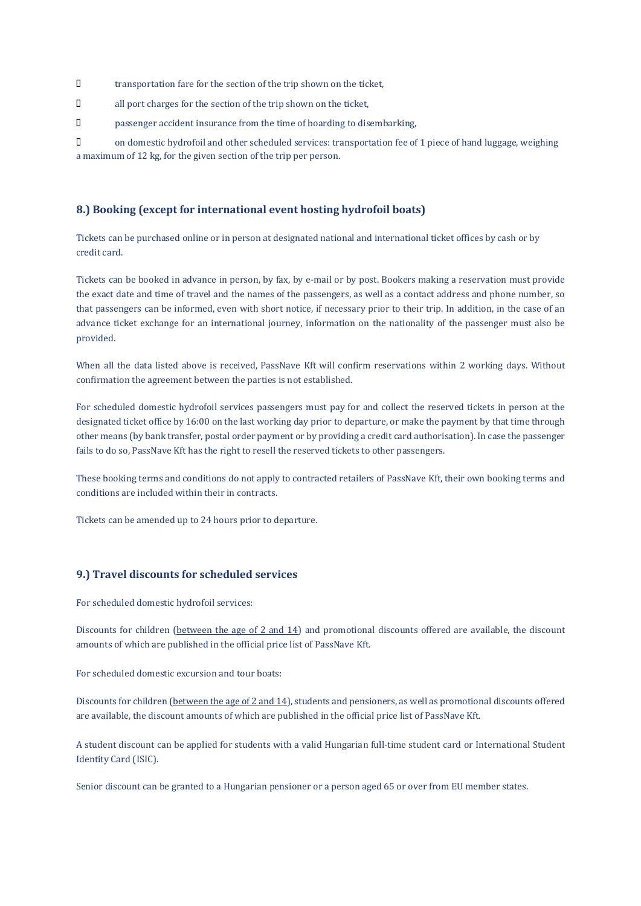- transportation fare for the section of the trip shown on the ticket,
- all port charges for the section of the trip shown on the ticket,
- passenger accident insurance from the time of boarding to disembarking,

 on domestic hydrofoil and other scheduled services: transportation fee of 1 piece of hand luggage, weighing a maximum of 12 kg, for the given section of the trip per person.

## 8.) Booking (except for international event hosting hydrofoil boats)

Tickets can be purchased online or in person at designated national and international ticket offices by cash or by credit card.

Tickets can be booked in advance in person, by fax, by e-mail or by post. Bookers making a reservation must provide the exact date and time of travel and the names of the passengers, as well as a contact address and phone number, so that passengers can be informed, even with short notice, if necessary prior to their trip. In addition, in the case of an advance ticket exchange for an international journey, information on the nationality of the passenger must also be provided.

When all the data listed above is received, PassNave Kft will confirm reservations within 2 working days. Without confirmation the agreement between the parties is not established.

For scheduled domestic hydrofoil services passengers must pay for and collect the reserved tickets in person at the designated ticket office by 16:00 on the last working day prior to departure, or make the payment by that time through other means (by bank transfer, postal order payment or by providing a credit card authorisation). In case the passenger fails to do so, PassNave Kft has the right to resell the reserved tickets to other passengers.

These booking terms and conditions do not apply to contracted retailers of PassNave Kft, their own booking terms and conditions are included within their in contracts.

Tickets can be amended up to 24 hours prior to departure.

## 9.) Travel discounts for scheduled services

For scheduled domestic hydrofoil services:

Discounts for children (between the age of 2 and 14) and promotional discounts offered are available, the discount amounts of which are published in the official price list of PassNave Kft.

For scheduled domestic excursion and tour boats:

Discounts for children (between the age of 2 and 14), students and pensioners, as well as promotional discounts offered are available, the discount amounts of which are published in the official price list of PassNave Kft.

A student discount can be applied for students with a valid Hungarian full-time student card or International Student Identity Card (ISIC).

Senior discount can be granted to a Hungarian pensioner or a person aged 65 or over from EU member states.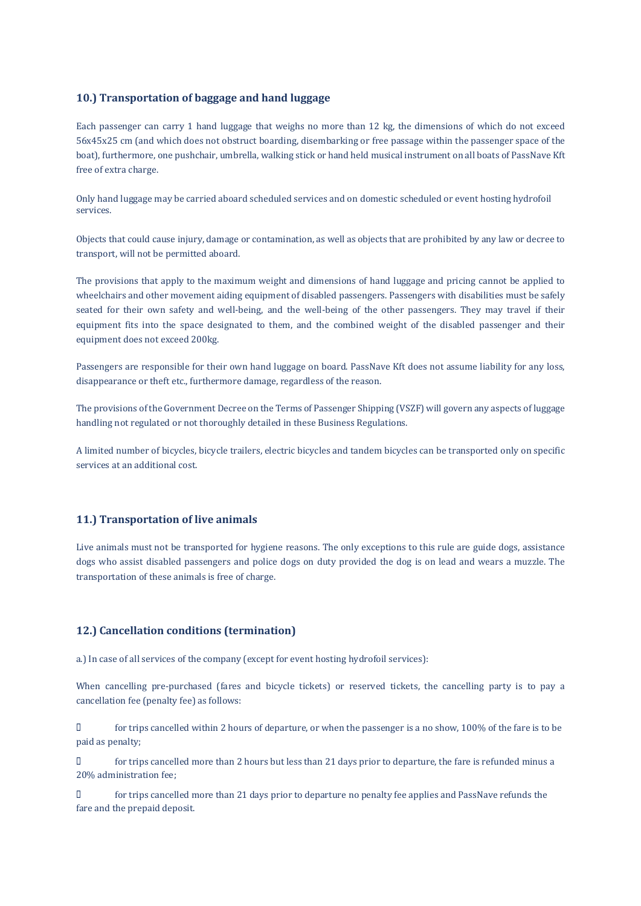## 10.) Transportation of baggage and hand luggage

Each passenger can carry 1 hand luggage that weighs no more than 12 kg, the dimensions of which do not exceed 56x45x25 cm (and which does not obstruct boarding, disembarking or free passage within the passenger space of the boat), furthermore, one pushchair, umbrella, walking stick or hand held musical instrument on all boats of PassNave Kft free of extra charge.

Only hand luggage may be carried aboard scheduled services and on domestic scheduled or event hosting hydrofoil services.

Objects that could cause injury, damage or contamination, as well as objects that are prohibited by any law or decree to transport, will not be permitted aboard.

The provisions that apply to the maximum weight and dimensions of hand luggage and pricing cannot be applied to wheelchairs and other movement aiding equipment of disabled passengers. Passengers with disabilities must be safely seated for their own safety and well-being, and the well-being of the other passengers. They may travel if their equipment fits into the space designated to them, and the combined weight of the disabled passenger and their equipment does not exceed 200kg.

Passengers are responsible for their own hand luggage on board. PassNave Kft does not assume liability for any loss, disappearance or theft etc., furthermore damage, regardless of the reason.

The provisions of the Government Decree on the Terms of Passenger Shipping (VSZF) will govern any aspects of luggage handling not regulated or not thoroughly detailed in these Business Regulations.

A limited number of bicycles, bicycle trailers, electric bicycles and tandem bicycles can be transported only on specific services at an additional cost.

## 11.) Transportation of live animals

Live animals must not be transported for hygiene reasons. The only exceptions to this rule are guide dogs, assistance dogs who assist disabled passengers and police dogs on duty provided the dog is on lead and wears a muzzle. The transportation of these animals is free of charge.

## 12.) Cancellation conditions (termination)

a.) In case of all services of the company (except for event hosting hydrofoil services):

When cancelling pre-purchased (fares and bicycle tickets) or reserved tickets, the cancelling party is to pay a cancellation fee (penalty fee) as follows:

 for trips cancelled within 2 hours of departure, or when the passenger is a no show, 100% of the fare is to be paid as penalty;

 for trips cancelled more than 2 hours but less than 21 days prior to departure, the fare is refunded minus a 20% administration fee;

 for trips cancelled more than 21 days prior to departure no penalty fee applies and PassNave refunds the fare and the prepaid deposit.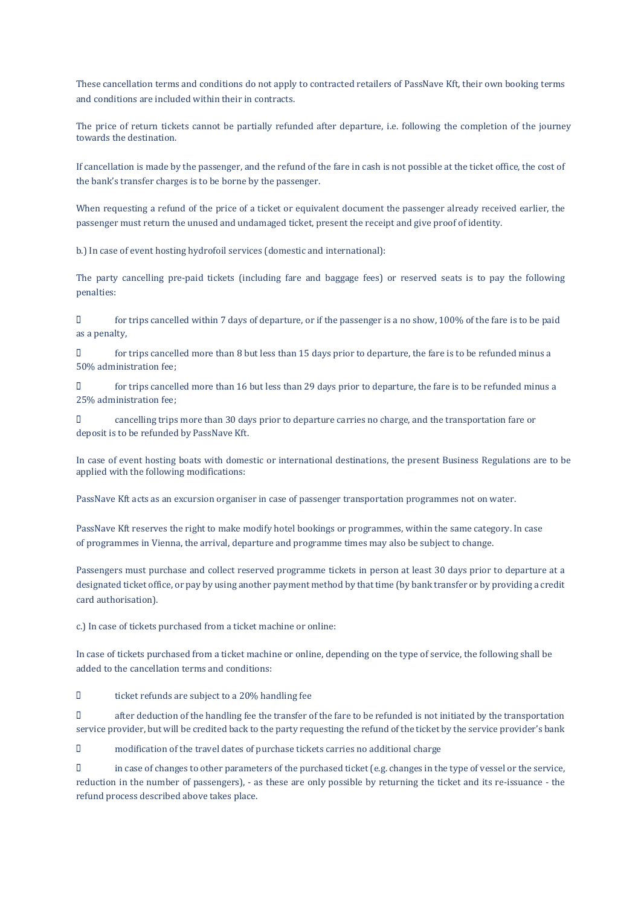These cancellation terms and conditions do not apply to contracted retailers of PassNave Kft, their own booking terms and conditions are included within their in contracts.

The price of return tickets cannot be partially refunded after departure, i.e. following the completion of the journey towards the destination.

If cancellation is made by the passenger, and the refund of the fare in cash is not possible at the ticket office, the cost of the bank's transfer charges is to be borne by the passenger.

When requesting a refund of the price of a ticket or equivalent document the passenger already received earlier, the passenger must return the unused and undamaged ticket, present the receipt and give proof of identity.

b.) In case of event hosting hydrofoil services (domestic and international):

The party cancelling pre-paid tickets (including fare and baggage fees) or reserved seats is to pay the following penalties:

 for trips cancelled within 7 days of departure, or if the passenger is a no show, 100% of the fare is to be paid as a penalty,

 for trips cancelled more than 8 but less than 15 days prior to departure, the fare is to be refunded minus a 50% administration fee;

 for trips cancelled more than 16 but less than 29 days prior to departure, the fare is to be refunded minus a 25% administration fee;

 cancelling trips more than 30 days prior to departure carries no charge, and the transportation fare or deposit is to be refunded by PassNave Kft.

In case of event hosting boats with domestic or international destinations, the present Business Regulations are to be applied with the following modifications:

PassNave Kft acts as an excursion organiser in case of passenger transportation programmes not on water.

PassNave Kft reserves the right to make modify hotel bookings or programmes, within the same category. In case of programmes in Vienna, the arrival, departure and programme times may also be subject to change.

Passengers must purchase and collect reserved programme tickets in person at least 30 days prior to departure at a designated ticket office, or pay by using another payment method by that time (by bank transfer or by providing a credit card authorisation).

c.) In case of tickets purchased from a ticket machine or online:

In case of tickets purchased from a ticket machine or online, depending on the type of service, the following shall be added to the cancellation terms and conditions:

 $\Box$  ticket refunds are subject to a 20% handling fee

 after deduction of the handling fee the transfer of the fare to be refunded is not initiated by the transportation service provider, but will be credited back to the party requesting the refund of the ticket by the service provider's bank

modification of the travel dates of purchase tickets carries no additional charge

 in case of changes to other parameters of the purchased ticket (e.g. changes in the type of vessel or the service, reduction in the number of passengers), - as these are only possible by returning the ticket and its re-issuance - the refund process described above takes place.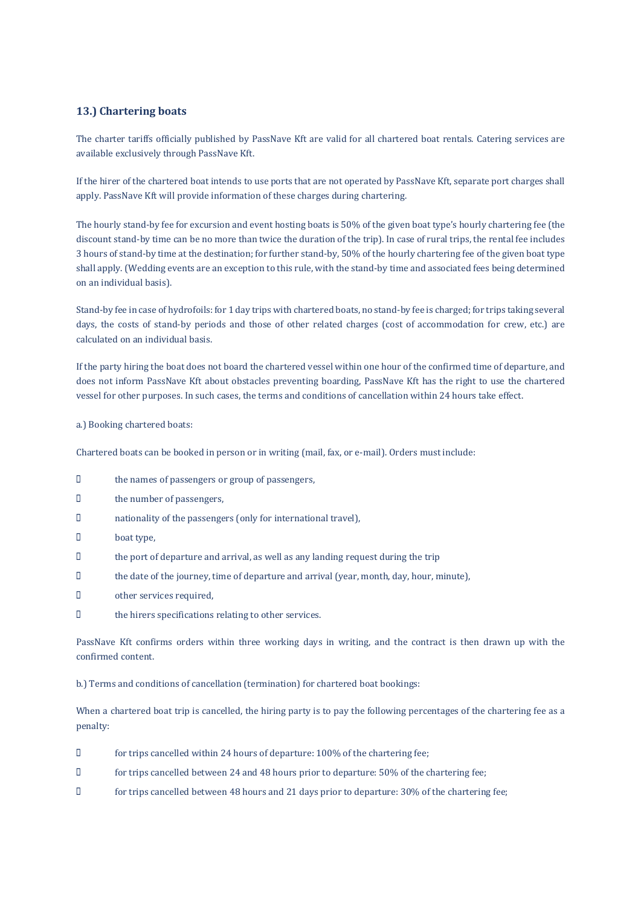## 13.) Chartering boats

The charter tariffs officially published by PassNave Kft are valid for all chartered boat rentals. Catering services are available exclusively through PassNave Kft.

If the hirer of the chartered boat intends to use ports that are not operated by PassNave Kft, separate port charges shall apply. PassNave Kft will provide information of these charges during chartering.

The hourly stand-by fee for excursion and event hosting boats is 50% of the given boat type's hourly chartering fee (the discount stand-by time can be no more than twice the duration of the trip). In case of rural trips, the rental fee includes 3 hours of stand-by time at the destination; for further stand-by, 50% of the hourly chartering fee of the given boat type shall apply. (Wedding events are an exception to this rule, with the stand-by time and associated fees being determined on an individual basis).

Stand-by fee in case of hydrofoils: for 1 day trips with chartered boats, no stand-by fee is charged; for trips taking several days, the costs of stand-by periods and those of other related charges (cost of accommodation for crew, etc.) are calculated on an individual basis.

If the party hiring the boat does not board the chartered vessel within one hour of the confirmed time of departure, and does not inform PassNave Kft about obstacles preventing boarding, PassNave Kft has the right to use the chartered vessel for other purposes. In such cases, the terms and conditions of cancellation within 24 hours take effect.

#### a.) Booking chartered boats:

Chartered boats can be booked in person or in writing (mail, fax, or e-mail). Orders must include:

- $\Box$  the names of passengers or group of passengers,
- the number of passengers,
- nationality of the passengers (only for international travel),
- D boat type,
- the port of departure and arrival, as well as any landing request during the trip
- $\Box$  the date of the journey, time of departure and arrival (year, month, day, hour, minute),
- other services required,
- the hirers specifications relating to other services.

PassNave Kft confirms orders within three working days in writing, and the contract is then drawn up with the confirmed content.

b.) Terms and conditions of cancellation (termination) for chartered boat bookings:

When a chartered boat trip is cancelled, the hiring party is to pay the following percentages of the chartering fee as a penalty:

- for trips cancelled within 24 hours of departure: 100% of the chartering fee;
- for trips cancelled between 24 and 48 hours prior to departure: 50% of the chartering fee;
- for trips cancelled between 48 hours and 21 days prior to departure: 30% of the chartering fee;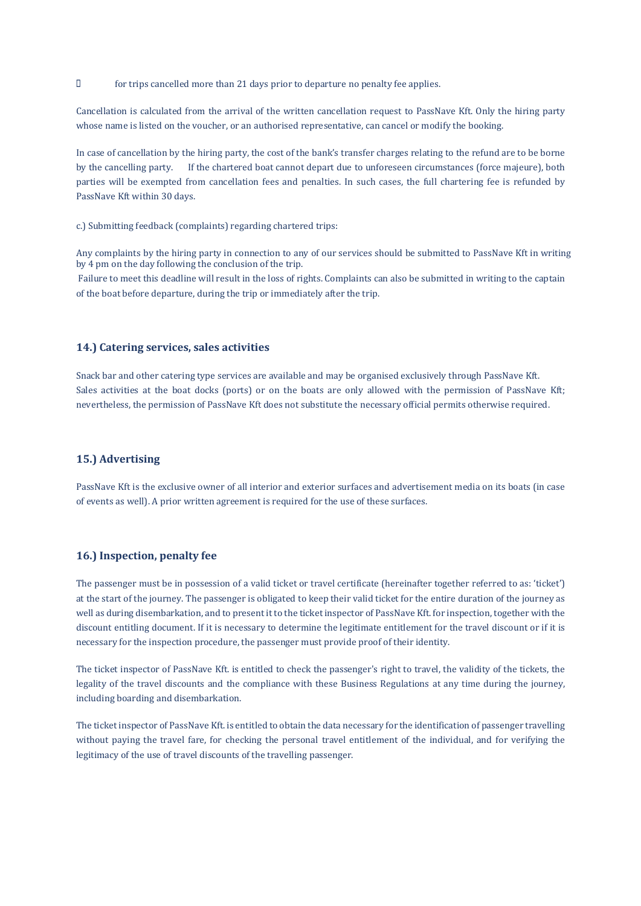for trips cancelled more than 21 days prior to departure no penalty fee applies.

Cancellation is calculated from the arrival of the written cancellation request to PassNave Kft. Only the hiring party whose name is listed on the voucher, or an authorised representative, can cancel or modify the booking.

In case of cancellation by the hiring party, the cost of the bank's transfer charges relating to the refund are to be borne by the cancelling party. If the chartered boat cannot depart due to unforeseen circumstances (force majeure), both parties will be exempted from cancellation fees and penalties. In such cases, the full chartering fee is refunded by PassNave Kft within 30 days.

c.) Submitting feedback (complaints) regarding chartered trips:

Any complaints by the hiring party in connection to any of our services should be submitted to PassNave Kft in writing by 4 pm on the day following the conclusion of the trip.

Failure to meet this deadline will result in the loss of rights. Complaints can also be submitted in writing to the captain of the boat before departure, during the trip or immediately after the trip.

## 14.) Catering services, sales activities

Snack bar and other catering type services are available and may be organised exclusively through PassNave Kft. Sales activities at the boat docks (ports) or on the boats are only allowed with the permission of PassNave Kft; nevertheless, the permission of PassNave Kft does not substitute the necessary official permits otherwise required.

## 15.) Advertising

PassNave Kft is the exclusive owner of all interior and exterior surfaces and advertisement media on its boats (in case of events as well). A prior written agreement is required for the use of these surfaces.

#### 16.) Inspection, penalty fee

The passenger must be in possession of a valid ticket or travel certificate (hereinafter together referred to as: 'ticket') at the start of the journey. The passenger is obligated to keep their valid ticket for the entire duration of the journey as well as during disembarkation, and to present it to the ticket inspector of PassNave Kft. for inspection, together with the discount entitling document. If it is necessary to determine the legitimate entitlement for the travel discount or if it is necessary for the inspection procedure, the passenger must provide proof of their identity.

The ticket inspector of PassNave Kft. is entitled to check the passenger's right to travel, the validity of the tickets, the legality of the travel discounts and the compliance with these Business Regulations at any time during the journey, including boarding and disembarkation.

The ticket inspector of PassNave Kft. is entitled to obtain the data necessary for the identification of passenger travelling without paying the travel fare, for checking the personal travel entitlement of the individual, and for verifying the legitimacy of the use of travel discounts of the travelling passenger.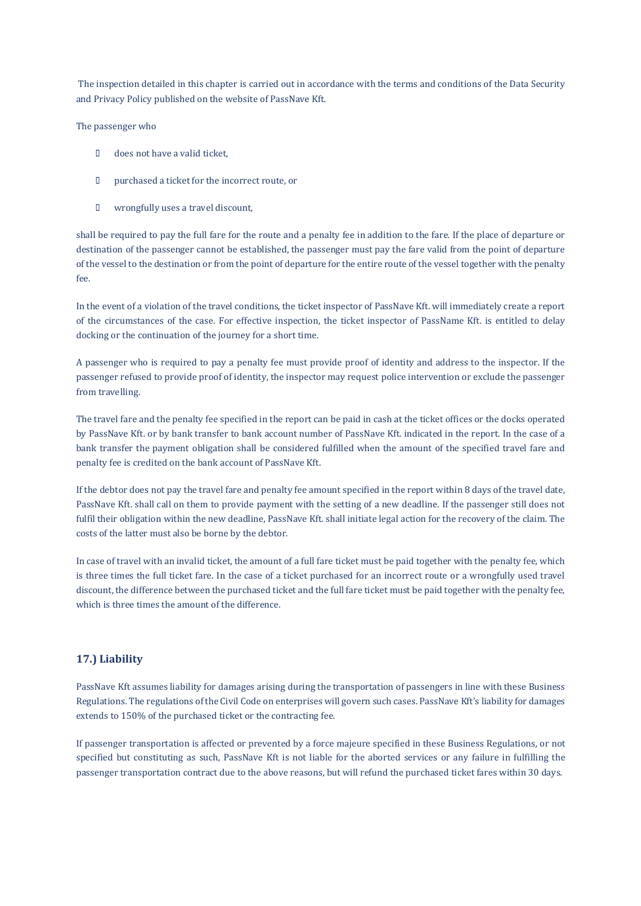The inspection detailed in this chapter is carried out in accordance with the terms and conditions of the Data Security and Privacy Policy published on the website of PassNave Kft.

The passenger who

- D does not have a valid ticket,
- purchased a ticket for the incorrect route, or
- wrongfully uses a travel discount,

shall be required to pay the full fare for the route and a penalty fee in addition to the fare. If the place of departure or destination of the passenger cannot be established, the passenger must pay the fare valid from the point of departure of the vessel to the destination or from the point of departure for the entire route of the vessel together with the penalty fee.

In the event of a violation of the travel conditions, the ticket inspector of PassNave Kft. will immediately create a report of the circumstances of the case. For effective inspection, the ticket inspector of PassName Kft. is entitled to delay docking or the continuation of the journey for a short time.

A passenger who is required to pay a penalty fee must provide proof of identity and address to the inspector. If the passenger refused to provide proof of identity, the inspector may request police intervention or exclude the passenger from travelling.

The travel fare and the penalty fee specified in the report can be paid in cash at the ticket offices or the docks operated by PassNave Kft. or by bank transfer to bank account number of PassNave Kft. indicated in the report. In the case of a bank transfer the payment obligation shall be considered fulfilled when the amount of the specified travel fare and penalty fee is credited on the bank account of PassNave Kft.

If the debtor does not pay the travel fare and penalty fee amount specified in the report within 8 days of the travel date, PassNave Kft. shall call on them to provide payment with the setting of a new deadline. If the passenger still does not fulfil their obligation within the new deadline, PassNave Kft. shall initiate legal action for the recovery of the claim. The costs of the latter must also be borne by the debtor.

In case of travel with an invalid ticket, the amount of a full fare ticket must be paid together with the penalty fee, which is three times the full ticket fare. In the case of a ticket purchased for an incorrect route or a wrongfully used travel discount, the difference between the purchased ticket and the full fare ticket must be paid together with the penalty fee, which is three times the amount of the difference.

## 17.) Liability

PassNave Kft assumes liability for damages arising during the transportation of passengers in line with these Business Regulations. The regulations of the Civil Code on enterprises will govern such cases. PassNave Kft's liability for damages extends to 150% of the purchased ticket or the contracting fee.

If passenger transportation is affected or prevented by a force majeure specified in these Business Regulations, or not specified but constituting as such, PassNave Kft is not liable for the aborted services or any failure in fulfilling the passenger transportation contract due to the above reasons, but will refund the purchased ticket fares within 30 days.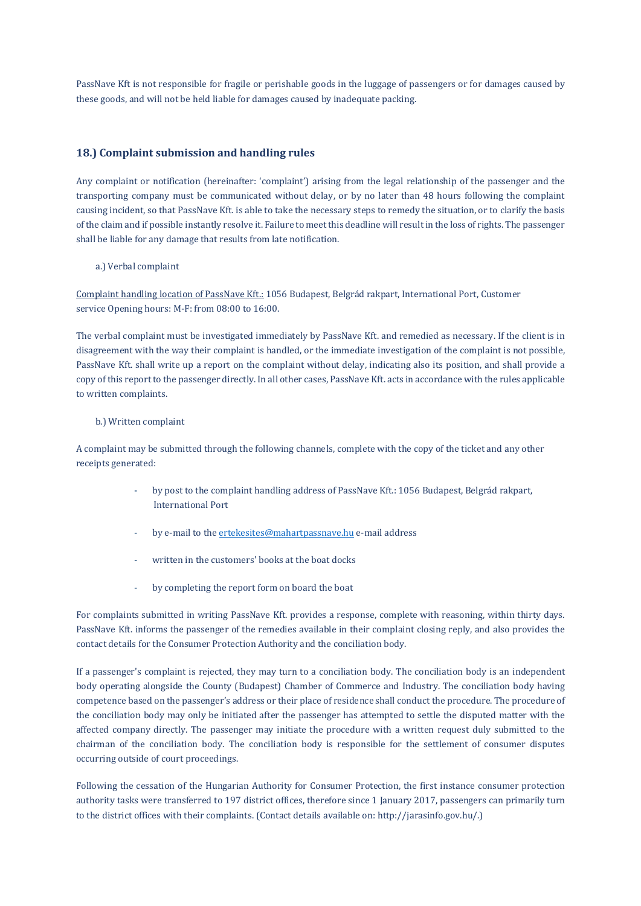PassNave Kft is not responsible for fragile or perishable goods in the luggage of passengers or for damages caused by these goods, and will not be held liable for damages caused by inadequate packing.

## 18.) Complaint submission and handling rules

Any complaint or notification (hereinafter: 'complaint') arising from the legal relationship of the passenger and the transporting company must be communicated without delay, or by no later than 48 hours following the complaint causing incident, so that PassNave Kft. is able to take the necessary steps to remedy the situation, or to clarify the basis of the claim and if possible instantly resolve it. Failure to meet this deadline will result in the loss of rights. The passenger shall be liable for any damage that results from late notification.

a.) Verbal complaint

Complaint handling location of PassNave Kft.: 1056 Budapest, Belgrád rakpart, International Port, Customer service Opening hours: M-F: from 08:00 to 16:00.

The verbal complaint must be investigated immediately by PassNave Kft. and remedied as necessary. If the client is in disagreement with the way their complaint is handled, or the immediate investigation of the complaint is not possible, PassNave Kft. shall write up a report on the complaint without delay, indicating also its position, and shall provide a copy of this report to the passenger directly. In all other cases, PassNave Kft. acts in accordance with the rules applicable to written complaints.

### b.) Written complaint

A complaint may be submitted through the following channels, complete with the copy of the ticket and any other receipts generated:

- by post to the complaint handling address of PassNave Kft.: 1056 Budapest, Belgrád rakpart, International Port
- by e-mail to the ertekesites@mahartpassnave.hu e-mail address
- written in the customers' books at the boat docks
- by completing the report form on board the boat

For complaints submitted in writing PassNave Kft. provides a response, complete with reasoning, within thirty days. PassNave Kft. informs the passenger of the remedies available in their complaint closing reply, and also provides the contact details for the Consumer Protection Authority and the conciliation body.

If a passenger's complaint is rejected, they may turn to a conciliation body. The conciliation body is an independent body operating alongside the County (Budapest) Chamber of Commerce and Industry. The conciliation body having competence based on the passenger's address or their place of residence shall conduct the procedure. The procedure of the conciliation body may only be initiated after the passenger has attempted to settle the disputed matter with the affected company directly. The passenger may initiate the procedure with a written request duly submitted to the chairman of the conciliation body. The conciliation body is responsible for the settlement of consumer disputes occurring outside of court proceedings.

Following the cessation of the Hungarian Authority for Consumer Protection, the first instance consumer protection authority tasks were transferred to 197 district offices, therefore since 1 January 2017, passengers can primarily turn to the district offices with their complaints. (Contact details available on: http://jarasinfo.gov.hu/.)